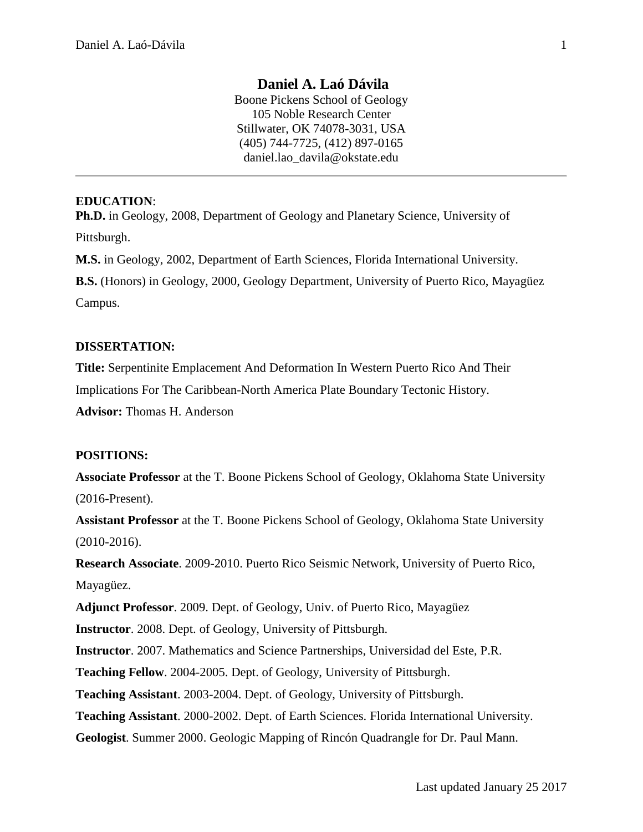# **Daniel A. Laó Dávila**

Boone Pickens School of Geology 105 Noble Research Center Stillwater, OK 74078-3031, USA (405) 744-7725, (412) 897-0165 daniel.lao\_davila@okstate.edu

### **EDUCATION**:

**Ph.D.** in Geology, 2008, Department of Geology and Planetary Science, University of Pittsburgh.

**M.S.** in Geology, 2002, Department of Earth Sciences, Florida International University.

**B.S.** (Honors) in Geology, 2000, Geology Department, University of Puerto Rico, Mayagüez

Campus.

#### **DISSERTATION:**

**Title:** Serpentinite Emplacement And Deformation In Western Puerto Rico And Their

Implications For The Caribbean-North America Plate Boundary Tectonic History.

**Advisor:** Thomas H. Anderson

#### **POSITIONS:**

**Associate Professor** at the T. Boone Pickens School of Geology, Oklahoma State University (2016-Present).

**Assistant Professor** at the T. Boone Pickens School of Geology, Oklahoma State University (2010-2016).

**Research Associate**. 2009-2010. Puerto Rico Seismic Network, University of Puerto Rico, Mayagüez.

**Adjunct Professor**. 2009. Dept. of Geology, Univ. of Puerto Rico, Mayagüez

**Instructor**. 2008. Dept. of Geology, University of Pittsburgh.

**Instructor**. 2007. Mathematics and Science Partnerships, Universidad del Este, P.R.

**Teaching Fellow**. 2004-2005. Dept. of Geology, University of Pittsburgh.

**Teaching Assistant**. 2003-2004. Dept. of Geology, University of Pittsburgh.

**Teaching Assistant**. 2000-2002. Dept. of Earth Sciences. Florida International University.

**Geologist**. Summer 2000. Geologic Mapping of Rincón Quadrangle for Dr. Paul Mann.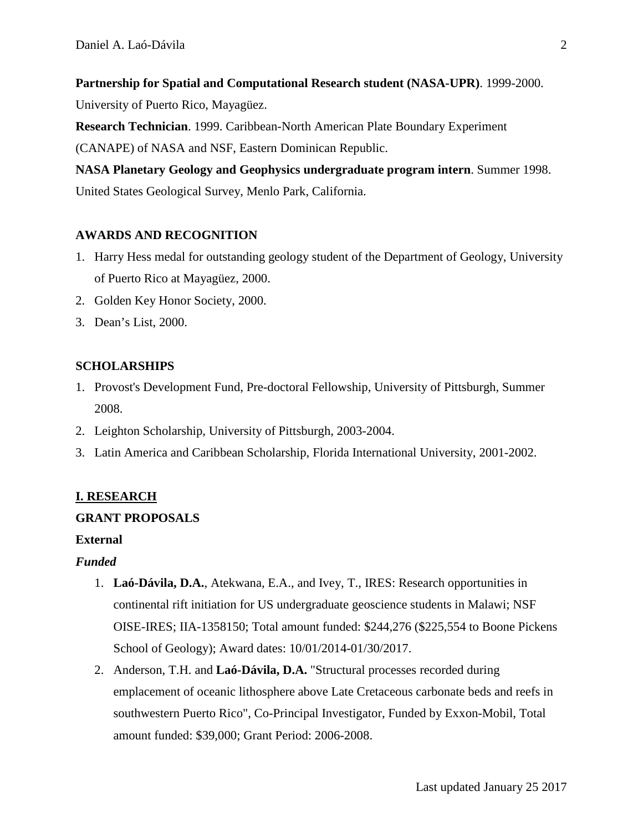**Partnership for Spatial and Computational Research student (NASA-UPR)**. 1999-2000.

University of Puerto Rico, Mayagüez.

**Research Technician**. 1999. Caribbean-North American Plate Boundary Experiment (CANAPE) of NASA and NSF, Eastern Dominican Republic.

**NASA Planetary Geology and Geophysics undergraduate program intern**. Summer 1998. United States Geological Survey, Menlo Park, California.

# **AWARDS AND RECOGNITION**

- 1. Harry Hess medal for outstanding geology student of the Department of Geology, University of Puerto Rico at Mayagüez, 2000.
- 2. Golden Key Honor Society, 2000.
- 3. Dean's List, 2000.

# **SCHOLARSHIPS**

- 1. Provost's Development Fund, Pre-doctoral Fellowship, University of Pittsburgh, Summer 2008.
- 2. Leighton Scholarship, University of Pittsburgh, 2003-2004.
- 3. Latin America and Caribbean Scholarship, Florida International University, 2001-2002.

# **I. RESEARCH**

## **GRANT PROPOSALS**

## **External**

## *Funded*

- 1. **Laó-Dávila, D.A.**, Atekwana, E.A., and Ivey, T., IRES: Research opportunities in continental rift initiation for US undergraduate geoscience students in Malawi; NSF OISE-IRES; IIA-1358150; Total amount funded: \$244,276 (\$225,554 to Boone Pickens School of Geology); Award dates: 10/01/2014-01/30/2017.
- 2. Anderson, T.H. and **Laó-Dávila, D.A.** "Structural processes recorded during emplacement of oceanic lithosphere above Late Cretaceous carbonate beds and reefs in southwestern Puerto Rico", Co-Principal Investigator, Funded by Exxon-Mobil, Total amount funded: \$39,000; Grant Period: 2006-2008.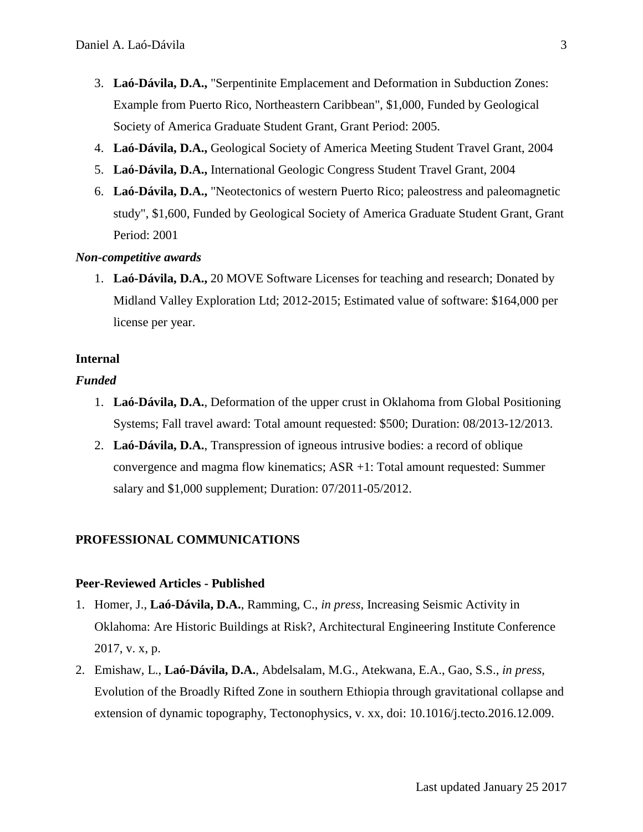- 3. **Laó-Dávila, D.A.,** "Serpentinite Emplacement and Deformation in Subduction Zones: Example from Puerto Rico, Northeastern Caribbean", \$1,000, Funded by Geological Society of America Graduate Student Grant, Grant Period: 2005.
- 4. **Laó-Dávila, D.A.,** Geological Society of America Meeting Student Travel Grant, 2004
- 5. **Laó-Dávila, D.A.,** International Geologic Congress Student Travel Grant, 2004
- 6. **Laó-Dávila, D.A.,** "Neotectonics of western Puerto Rico; paleostress and paleomagnetic study", \$1,600, Funded by Geological Society of America Graduate Student Grant, Grant Period: 2001

#### *Non-competitive awards*

1. **Laó-Dávila, D.A.,** 20 MOVE Software Licenses for teaching and research; Donated by Midland Valley Exploration Ltd; 2012-2015; Estimated value of software: \$164,000 per license per year.

#### **Internal**

### *Funded*

- 1. **Laó-Dávila, D.A.**, Deformation of the upper crust in Oklahoma from Global Positioning Systems; Fall travel award: Total amount requested: \$500; Duration: 08/2013-12/2013.
- 2. **Laó-Dávila, D.A.**, Transpression of igneous intrusive bodies: a record of oblique convergence and magma flow kinematics; ASR +1: Total amount requested: Summer salary and \$1,000 supplement; Duration: 07/2011-05/2012.

### **PROFESSIONAL COMMUNICATIONS**

### **Peer-Reviewed Articles - Published**

- 1. Homer, J., **Laó-Dávila, D.A.**, Ramming, C., *in press*, Increasing Seismic Activity in Oklahoma: Are Historic Buildings at Risk?, Architectural Engineering Institute Conference 2017, v. x, p.
- 2. Emishaw, L., **Laó-Dávila, D.A.**, Abdelsalam, M.G., Atekwana, E.A., Gao, S.S., *in press*, Evolution of the Broadly Rifted Zone in southern Ethiopia through gravitational collapse and extension of dynamic topography, Tectonophysics, v. xx, doi: 10.1016/j.tecto.2016.12.009.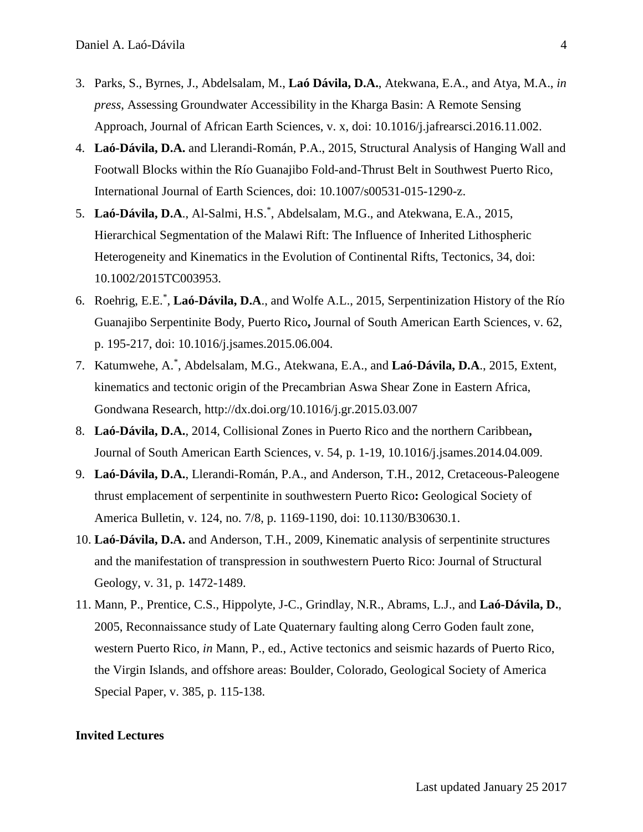- 3. Parks, S., Byrnes, J., Abdelsalam, M., **Laó Dávila, D.A.**, Atekwana, E.A., and Atya, M.A., *in press*, Assessing Groundwater Accessibility in the Kharga Basin: A Remote Sensing Approach, Journal of African Earth Sciences, v. x, doi: 10.1016/j.jafrearsci.2016.11.002.
- 4. **Laó-Dávila, D.A.** and Llerandi-Román, P.A., 2015, Structural Analysis of Hanging Wall and Footwall Blocks within the Río Guanajibo Fold-and-Thrust Belt in Southwest Puerto Rico, International Journal of Earth Sciences, doi: 10.1007/s00531-015-1290-z.
- 5. **Laó-Dávila, D.A**., Al-Salmi, H.S.\* , Abdelsalam, M.G., and Atekwana, E.A., 2015, Hierarchical Segmentation of the Malawi Rift: The Influence of Inherited Lithospheric Heterogeneity and Kinematics in the Evolution of Continental Rifts, Tectonics, 34, doi: 10.1002/2015TC003953.
- 6. Roehrig, E.E.\* , **Laó-Dávila, D.A**., and Wolfe A.L., 2015, Serpentinization History of the Río Guanajibo Serpentinite Body, Puerto Rico**,** Journal of South American Earth Sciences, v. 62, p. 195-217, doi: 10.1016/j.jsames.2015.06.004.
- 7. Katumwehe, A.\* , Abdelsalam, M.G., Atekwana, E.A., and **Laó-Dávila, D.A**., 2015, Extent, kinematics and tectonic origin of the Precambrian Aswa Shear Zone in Eastern Africa, Gondwana Research, http://dx.doi.org/10.1016/j.gr.2015.03.007
- 8. **Laó-Dávila, D.A.**, 2014, Collisional Zones in Puerto Rico and the northern Caribbean**,** Journal of South American Earth Sciences, v. 54, p. 1-19, 10.1016/j.jsames.2014.04.009.
- 9. **Laó-Dávila, D.A.**, Llerandi-Román, P.A., and Anderson, T.H., 2012, Cretaceous-Paleogene thrust emplacement of serpentinite in southwestern Puerto Rico**:** Geological Society of America Bulletin, v. 124, no. 7/8, p. 1169-1190, doi: 10.1130/B30630.1.
- 10. **Laó-Dávila, D.A.** and Anderson, T.H., 2009, Kinematic analysis of serpentinite structures and the manifestation of transpression in southwestern Puerto Rico: Journal of Structural Geology, v. 31, p. 1472-1489.
- 11. Mann, P., Prentice, C.S., Hippolyte, J-C., Grindlay, N.R., Abrams, L.J., and **Laó-Dávila, D.**, 2005, Reconnaissance study of Late Quaternary faulting along Cerro Goden fault zone, western Puerto Rico, *in* Mann, P., ed., Active tectonics and seismic hazards of Puerto Rico, the Virgin Islands, and offshore areas: Boulder, Colorado, Geological Society of America Special Paper, v. 385, p. 115-138.

#### **Invited Lectures**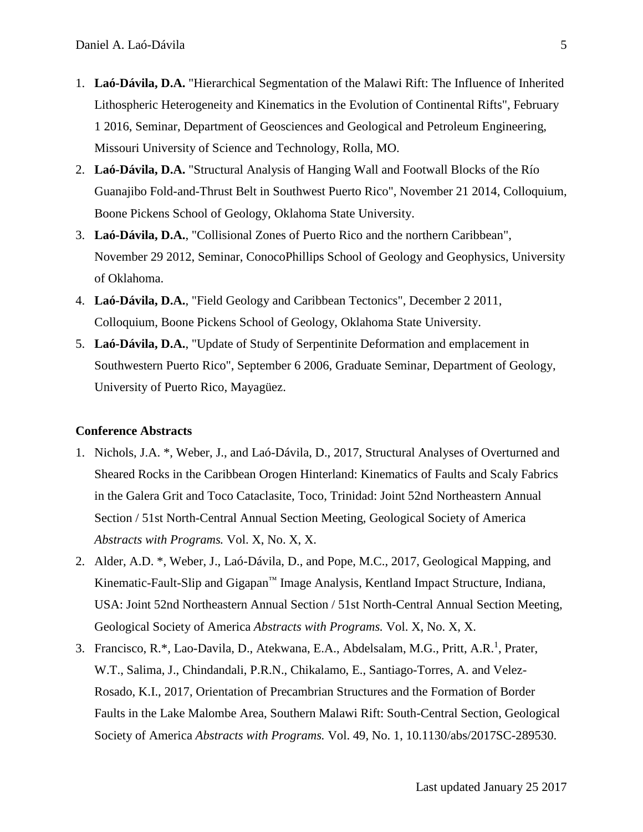- 1. **Laó-Dávila, D.A.** "Hierarchical Segmentation of the Malawi Rift: The Influence of Inherited Lithospheric Heterogeneity and Kinematics in the Evolution of Continental Rifts", February 1 2016, Seminar, Department of Geosciences and Geological and Petroleum Engineering, Missouri University of Science and Technology, Rolla, MO.
- 2. **Laó-Dávila, D.A.** "Structural Analysis of Hanging Wall and Footwall Blocks of the Río Guanajibo Fold-and-Thrust Belt in Southwest Puerto Rico", November 21 2014, Colloquium, Boone Pickens School of Geology, Oklahoma State University.
- 3. **Laó-Dávila, D.A.**, "Collisional Zones of Puerto Rico and the northern Caribbean", November 29 2012, Seminar, ConocoPhillips School of Geology and Geophysics, University of Oklahoma.
- 4. **Laó-Dávila, D.A.**, "Field Geology and Caribbean Tectonics", December 2 2011, Colloquium, Boone Pickens School of Geology, Oklahoma State University.
- 5. **Laó-Dávila, D.A.**, "Update of Study of Serpentinite Deformation and emplacement in Southwestern Puerto Rico", September 6 2006, Graduate Seminar, Department of Geology, University of Puerto Rico, Mayagüez.

#### **Conference Abstracts**

- 1. Nichols, J.A. \*, Weber, J., and Laó-Dávila, D., 2017, Structural Analyses of Overturned and Sheared Rocks in the Caribbean Orogen Hinterland: Kinematics of Faults and Scaly Fabrics in the Galera Grit and Toco Cataclasite, Toco, Trinidad: Joint 52nd Northeastern Annual Section / 51st North-Central Annual Section Meeting, Geological Society of America *Abstracts with Programs.* Vol. X, No. X, X.
- 2. Alder, A.D. \*, Weber, J., Laó-Dávila, D., and Pope, M.C., 2017, Geological Mapping, and Kinematic-Fault-Slip and Gigapan™ Image Analysis, Kentland Impact Structure, Indiana, USA: Joint 52nd Northeastern Annual Section / 51st North-Central Annual Section Meeting, Geological Society of America *Abstracts with Programs.* Vol. X, No. X, X.
- 3. Francisco, R.\*, Lao-Davila, D., Atekwana, E.A., Abdelsalam, M.G., Pritt, A.R.<sup>1</sup>, Prater, W.T., Salima, J., Chindandali, P.R.N., Chikalamo, E., Santiago-Torres, A. and Velez-Rosado, K.I., 2017, Orientation of Precambrian Structures and the Formation of Border Faults in the Lake Malombe Area, Southern Malawi Rift: South-Central Section, Geological Society of America *Abstracts with Programs.* Vol. 49, No. 1, 10.1130/abs/2017SC-289530.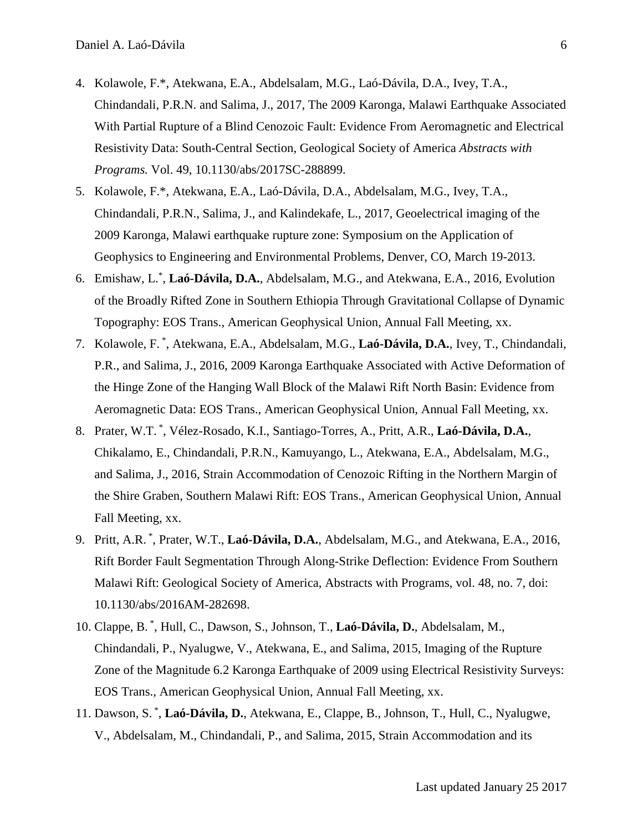- 4. Kolawole, F.\*, Atekwana, E.A., Abdelsalam, M.G., Laó-Dávila, D.A., Ivey, T.A., Chindandali, P.R.N. and Salima, J., 2017, The 2009 Karonga, Malawi Earthquake Associated With Partial Rupture of a Blind Cenozoic Fault: Evidence From Aeromagnetic and Electrical Resistivity Data: South-Central Section, Geological Society of America *Abstracts with Programs.* Vol. 49, 10.1130/abs/2017SC-288899.
- 5. Kolawole, F.\*, Atekwana, E.A., Laó-Dávila, D.A., Abdelsalam, M.G., Ivey, T.A., Chindandali, P.R.N., Salima, J., and Kalindekafe, L., 2017, Geoelectrical imaging of the 2009 Karonga, Malawi earthquake rupture zone: Symposium on the Application of Geophysics to Engineering and Environmental Problems, Denver, CO, March 19-2013.
- 6. Emishaw, L.\* , **Laó-Dávila, D.A.**, Abdelsalam, M.G., and Atekwana, E.A., 2016, Evolution of the Broadly Rifted Zone in Southern Ethiopia Through Gravitational Collapse of Dynamic Topography: EOS Trans., American Geophysical Union, Annual Fall Meeting, xx.
- 7. Kolawole, F. \* , Atekwana, E.A., Abdelsalam, M.G., **Laó-Dávila, D.A.**, Ivey, T., Chindandali, P.R., and Salima, J., 2016, 2009 Karonga Earthquake Associated with Active Deformation of the Hinge Zone of the Hanging Wall Block of the Malawi Rift North Basin: Evidence from Aeromagnetic Data: EOS Trans., American Geophysical Union, Annual Fall Meeting, xx.
- 8. Prater, W.T. \* , Vélez-Rosado, K.I., Santiago-Torres, A., Pritt, A.R., **Laó-Dávila, D.A.**, Chikalamo, E., Chindandali, P.R.N., Kamuyango, L., Atekwana, E.A., Abdelsalam, M.G., and Salima, J., 2016, Strain Accommodation of Cenozoic Rifting in the Northern Margin of the Shire Graben, Southern Malawi Rift: EOS Trans., American Geophysical Union, Annual Fall Meeting, xx.
- 9. Pritt, A.R. \* , Prater, W.T., **Laó-Dávila, D.A.**, Abdelsalam, M.G., and Atekwana, E.A., 2016, Rift Border Fault Segmentation Through Along-Strike Deflection: Evidence From Southern Malawi Rift: Geological Society of America, Abstracts with Programs, vol. 48, no. 7, doi: 10.1130/abs/2016AM-282698.
- 10. Clappe, B. \* , Hull, C., Dawson, S., Johnson, T., **Laó-Dávila, D.**, Abdelsalam, M., Chindandali, P., Nyalugwe, V., Atekwana, E., and Salima, 2015, Imaging of the Rupture Zone of the Magnitude 6.2 Karonga Earthquake of 2009 using Electrical Resistivity Surveys: EOS Trans., American Geophysical Union, Annual Fall Meeting, xx.
- 11. Dawson, S. \* , **Laó-Dávila, D.**, Atekwana, E., Clappe, B., Johnson, T., Hull, C., Nyalugwe, V., Abdelsalam, M., Chindandali, P., and Salima, 2015, Strain Accommodation and its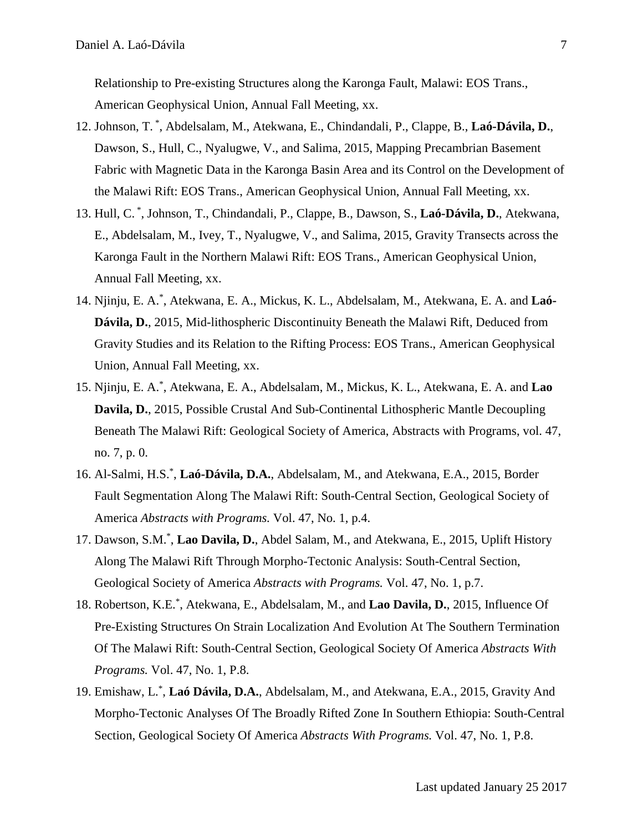Relationship to Pre-existing Structures along the Karonga Fault, Malawi: EOS Trans., American Geophysical Union, Annual Fall Meeting, xx.

- 12. Johnson, T. \* , Abdelsalam, M., Atekwana, E., Chindandali, P., Clappe, B., **Laó-Dávila, D.**, Dawson, S., Hull, C., Nyalugwe, V., and Salima, 2015, Mapping Precambrian Basement Fabric with Magnetic Data in the Karonga Basin Area and its Control on the Development of the Malawi Rift: EOS Trans., American Geophysical Union, Annual Fall Meeting, xx.
- 13. Hull, C. \* , Johnson, T., Chindandali, P., Clappe, B., Dawson, S., **Laó-Dávila, D.**, Atekwana, E., Abdelsalam, M., Ivey, T., Nyalugwe, V., and Salima, 2015, Gravity Transects across the Karonga Fault in the Northern Malawi Rift: EOS Trans., American Geophysical Union, Annual Fall Meeting, xx.
- 14. Njinju, E. A.\* , Atekwana, E. A., Mickus, K. L., Abdelsalam, M., Atekwana, E. A. and **Laó-Dávila, D.**, 2015, Mid-lithospheric Discontinuity Beneath the Malawi Rift, Deduced from Gravity Studies and its Relation to the Rifting Process: EOS Trans., American Geophysical Union, Annual Fall Meeting, xx.
- 15. Njinju, E. A.\* , Atekwana, E. A., Abdelsalam, M., Mickus, K. L., Atekwana, E. A. and **Lao Davila, D.**, 2015, Possible Crustal And Sub-Continental Lithospheric Mantle Decoupling Beneath The Malawi Rift: Geological Society of America, Abstracts with Programs, vol. 47, no. 7, p. 0.
- 16. Al-Salmi, H.S.\* , **Laó-Dávila, D.A.**, Abdelsalam, M., and Atekwana, E.A., 2015, Border Fault Segmentation Along The Malawi Rift: South-Central Section, Geological Society of America *Abstracts with Programs.* Vol. 47, No. 1, p.4.
- 17. Dawson, S.M.\* , **Lao Davila, D.**, Abdel Salam, M., and Atekwana, E., 2015, Uplift History Along The Malawi Rift Through Morpho-Tectonic Analysis: South-Central Section, Geological Society of America *Abstracts with Programs.* Vol. 47, No. 1, p.7.
- 18. Robertson, K.E.\* , Atekwana, E., Abdelsalam, M., and **Lao Davila, D.**, 2015, Influence Of Pre-Existing Structures On Strain Localization And Evolution At The Southern Termination Of The Malawi Rift: South-Central Section, Geological Society Of America *Abstracts With Programs.* Vol. 47, No. 1, P.8.
- 19. Emishaw, L.\* , **Laó Dávila, D.A.**, Abdelsalam, M., and Atekwana, E.A., 2015, Gravity And Morpho-Tectonic Analyses Of The Broadly Rifted Zone In Southern Ethiopia: South-Central Section, Geological Society Of America *Abstracts With Programs.* Vol. 47, No. 1, P.8.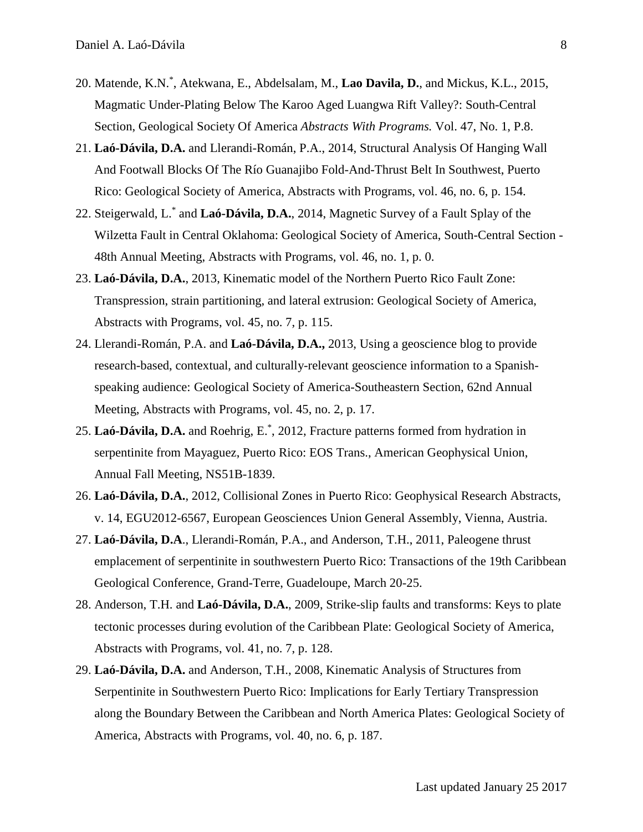- 20. Matende, K.N.\* , Atekwana, E., Abdelsalam, M., **Lao Davila, D.**, and Mickus, K.L., 2015, Magmatic Under-Plating Below The Karoo Aged Luangwa Rift Valley?: South-Central Section, Geological Society Of America *Abstracts With Programs.* Vol. 47, No. 1, P.8.
- 21. **Laó-Dávila, D.A.** and Llerandi-Román, P.A., 2014, Structural Analysis Of Hanging Wall And Footwall Blocks Of The Río Guanajibo Fold-And-Thrust Belt In Southwest, Puerto Rico: Geological Society of America, Abstracts with Programs, vol. 46, no. 6, p. 154.
- 22. Steigerwald, L.\* and **Laó-Dávila, D.A.**, 2014, Magnetic Survey of a Fault Splay of the Wilzetta Fault in Central Oklahoma: Geological Society of America, South-Central Section - 48th Annual Meeting, Abstracts with Programs, vol. 46, no. 1, p. 0.
- 23. **Laó-Dávila, D.A.**, 2013, Kinematic model of the Northern Puerto Rico Fault Zone: Transpression, strain partitioning, and lateral extrusion: Geological Society of America, Abstracts with Programs, vol. 45, no. 7, p. 115.
- 24. Llerandi-Román, P.A. and **Laó-Dávila, D.A.,** 2013, Using a geoscience blog to provide research-based, contextual, and culturally-relevant geoscience information to a Spanishspeaking audience: Geological Society of America-Southeastern Section, 62nd Annual Meeting, Abstracts with Programs, vol. 45, no. 2, p. 17.
- 25. **Laó-Dávila, D.A.** and Roehrig, E.\* , 2012, Fracture patterns formed from hydration in serpentinite from Mayaguez, Puerto Rico: EOS Trans., American Geophysical Union, Annual Fall Meeting, NS51B-1839.
- 26. **Laó-Dávila, D.A.**, 2012, Collisional Zones in Puerto Rico: Geophysical Research Abstracts, v. 14, EGU2012-6567, European Geosciences Union General Assembly, Vienna, Austria.
- 27. **Laó-Dávila, D.A**., Llerandi-Román, P.A., and Anderson, T.H., 2011, Paleogene thrust emplacement of serpentinite in southwestern Puerto Rico: Transactions of the 19th Caribbean Geological Conference, Grand-Terre, Guadeloupe, March 20-25.
- 28. Anderson, T.H. and **Laó-Dávila, D.A.**, 2009, Strike-slip faults and transforms: Keys to plate tectonic processes during evolution of the Caribbean Plate: Geological Society of America, Abstracts with Programs, vol. 41, no. 7, p. 128.
- 29. **Laó-Dávila, D.A.** and Anderson, T.H., 2008, Kinematic Analysis of Structures from Serpentinite in Southwestern Puerto Rico: Implications for Early Tertiary Transpression along the Boundary Between the Caribbean and North America Plates: Geological Society of America, Abstracts with Programs, vol. 40, no. 6, p. 187.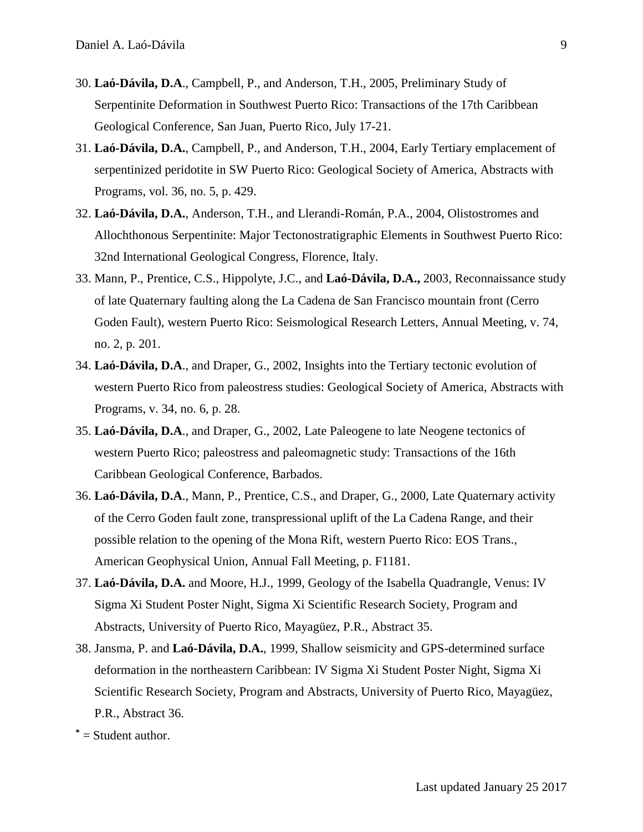- 30. **Laó-Dávila, D.A**., Campbell, P., and Anderson, T.H., 2005, Preliminary Study of Serpentinite Deformation in Southwest Puerto Rico: Transactions of the 17th Caribbean Geological Conference, San Juan, Puerto Rico, July 17-21.
- 31. **Laó-Dávila, D.A.**, Campbell, P., and Anderson, T.H., 2004, Early Tertiary emplacement of serpentinized peridotite in SW Puerto Rico: Geological Society of America, Abstracts with Programs, vol. 36, no. 5, p. 429.
- 32. **Laó-Dávila, D.A.**, Anderson, T.H., and Llerandi-Román, P.A., 2004, Olistostromes and Allochthonous Serpentinite: Major Tectonostratigraphic Elements in Southwest Puerto Rico: 32nd International Geological Congress, Florence, Italy.
- 33. Mann, P., Prentice, C.S., Hippolyte, J.C., and **Laó-Dávila, D.A.,** 2003, Reconnaissance study of late Quaternary faulting along the La Cadena de San Francisco mountain front (Cerro Goden Fault), western Puerto Rico: Seismological Research Letters, Annual Meeting, v. 74, no. 2, p. 201.
- 34. **Laó-Dávila, D.A**., and Draper, G., 2002, Insights into the Tertiary tectonic evolution of western Puerto Rico from paleostress studies: Geological Society of America, Abstracts with Programs, v. 34, no. 6, p. 28.
- 35. **Laó-Dávila, D.A**., and Draper, G., 2002, Late Paleogene to late Neogene tectonics of western Puerto Rico; paleostress and paleomagnetic study: Transactions of the 16th Caribbean Geological Conference, Barbados.
- 36. **Laó-Dávila, D.A**., Mann, P., Prentice, C.S., and Draper, G., 2000, Late Quaternary activity of the Cerro Goden fault zone, transpressional uplift of the La Cadena Range, and their possible relation to the opening of the Mona Rift, western Puerto Rico: EOS Trans., American Geophysical Union, Annual Fall Meeting, p. F1181.
- 37. **Laó-Dávila, D.A.** and Moore, H.J., 1999, Geology of the Isabella Quadrangle, Venus: IV Sigma Xi Student Poster Night, Sigma Xi Scientific Research Society, Program and Abstracts, University of Puerto Rico, Mayagüez, P.R., Abstract 35.
- 38. Jansma, P. and **Laó-Dávila, D.A.**, 1999, Shallow seismicity and GPS-determined surface deformation in the northeastern Caribbean: IV Sigma Xi Student Poster Night, Sigma Xi Scientific Research Society, Program and Abstracts, University of Puerto Rico, Mayagüez, P.R., Abstract 36.
- **\*** = Student author.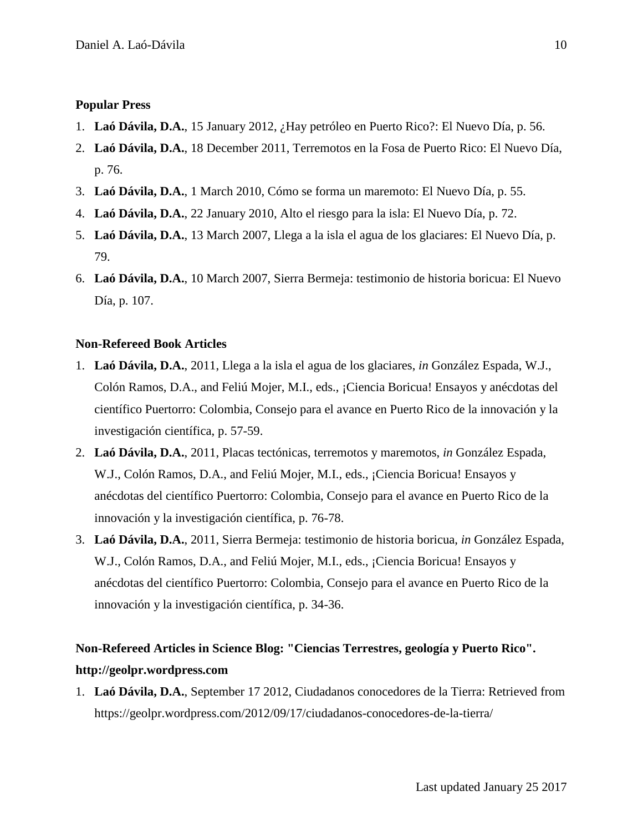## **Popular Press**

- 1. **Laó Dávila, D.A.**, 15 January 2012, ¿Hay petróleo en Puerto Rico?: El Nuevo Día, p. 56.
- 2. **Laó Dávila, D.A.**, 18 December 2011, Terremotos en la Fosa de Puerto Rico: El Nuevo Día, p. 76.
- 3. **Laó Dávila, D.A.**, 1 March 2010, Cómo se forma un maremoto: El Nuevo Día, p. 55.
- 4. **Laó Dávila, D.A.**, 22 January 2010, Alto el riesgo para la isla: El Nuevo Día, p. 72.
- 5. **Laó Dávila, D.A.**, 13 March 2007, Llega a la isla el agua de los glaciares: El Nuevo Día, p. 79.
- 6. **Laó Dávila, D.A.**, 10 March 2007, Sierra Bermeja: testimonio de historia boricua: El Nuevo Día, p. 107.

#### **Non-Refereed Book Articles**

- 1. **Laó Dávila, D.A.**, 2011, Llega a la isla el agua de los glaciares, *in* González Espada, W.J., Colón Ramos, D.A., and Feliú Mojer, M.I., eds., ¡Ciencia Boricua! Ensayos y anécdotas del científico Puertorro: Colombia, Consejo para el avance en Puerto Rico de la innovación y la investigación científica, p. 57-59.
- 2. **Laó Dávila, D.A.**, 2011, Placas tectónicas, terremotos y maremotos, *in* González Espada, W.J., Colón Ramos, D.A., and Feliú Mojer, M.I., eds., ¡Ciencia Boricua! Ensayos y anécdotas del científico Puertorro: Colombia, Consejo para el avance en Puerto Rico de la innovación y la investigación científica, p. 76-78.
- 3. **Laó Dávila, D.A.**, 2011, Sierra Bermeja: testimonio de historia boricua, *in* González Espada, W.J., Colón Ramos, D.A., and Feliú Mojer, M.I., eds., ¡Ciencia Boricua! Ensayos y anécdotas del científico Puertorro: Colombia, Consejo para el avance en Puerto Rico de la innovación y la investigación científica, p. 34-36.

# **Non-Refereed Articles in Science Blog: "Ciencias Terrestres, geología y Puerto Rico". http://geolpr.wordpress.com**

1. **Laó Dávila, D.A.**, September 17 2012, Ciudadanos conocedores de la Tierra: Retrieved from https://geolpr.wordpress.com/2012/09/17/ciudadanos-conocedores-de-la-tierra/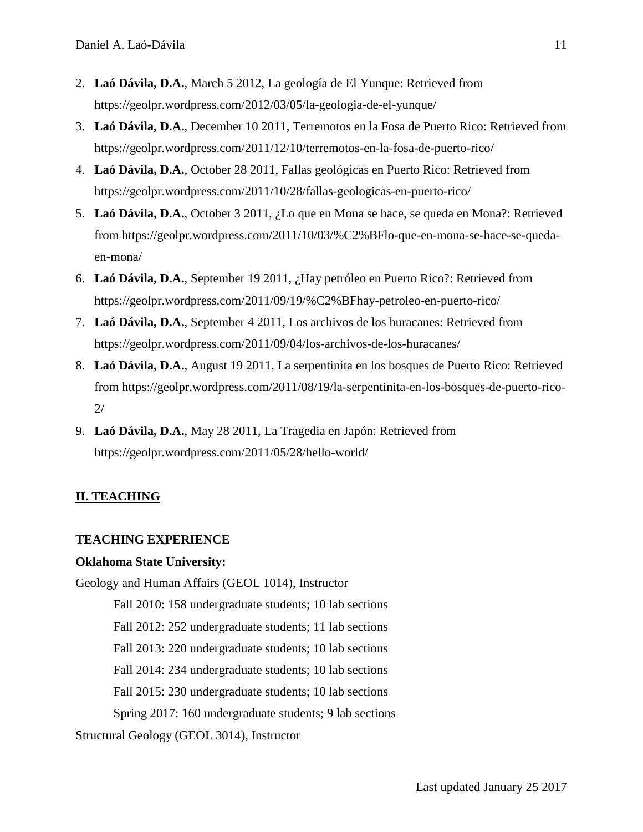- 2. **Laó Dávila, D.A.**, March 5 2012, La geología de El Yunque: Retrieved from https://geolpr.wordpress.com/2012/03/05/la-geologia-de-el-yunque/
- 3. **Laó Dávila, D.A.**, December 10 2011, Terremotos en la Fosa de Puerto Rico: Retrieved from https://geolpr.wordpress.com/2011/12/10/terremotos-en-la-fosa-de-puerto-rico/
- 4. **Laó Dávila, D.A.**, October 28 2011, Fallas geológicas en Puerto Rico: Retrieved from https://geolpr.wordpress.com/2011/10/28/fallas-geologicas-en-puerto-rico/
- 5. **Laó Dávila, D.A.**, October 3 2011, ¿Lo que en Mona se hace, se queda en Mona?: Retrieved from https://geolpr.wordpress.com/2011/10/03/%C2%BFlo-que-en-mona-se-hace-se-quedaen-mona/
- 6. **Laó Dávila, D.A.**, September 19 2011, ¿Hay petróleo en Puerto Rico?: Retrieved from https://geolpr.wordpress.com/2011/09/19/%C2%BFhay-petroleo-en-puerto-rico/
- 7. **Laó Dávila, D.A.**, September 4 2011, Los archivos de los huracanes: Retrieved from https://geolpr.wordpress.com/2011/09/04/los-archivos-de-los-huracanes/
- 8. **Laó Dávila, D.A.**, August 19 2011, La serpentinita en los bosques de Puerto Rico: Retrieved from https://geolpr.wordpress.com/2011/08/19/la-serpentinita-en-los-bosques-de-puerto-rico-2/
- 9. **Laó Dávila, D.A.**, May 28 2011, La Tragedia en Japón: Retrieved from https://geolpr.wordpress.com/2011/05/28/hello-world/

# **II. TEACHING**

## **TEACHING EXPERIENCE**

#### **Oklahoma State University:**

Geology and Human Affairs (GEOL 1014), Instructor Fall 2010: 158 undergraduate students; 10 lab sections

Fall 2012: 252 undergraduate students; 11 lab sections

Fall 2013: 220 undergraduate students; 10 lab sections

Fall 2014: 234 undergraduate students; 10 lab sections

Fall 2015: 230 undergraduate students; 10 lab sections

Spring 2017: 160 undergraduate students; 9 lab sections

Structural Geology (GEOL 3014), Instructor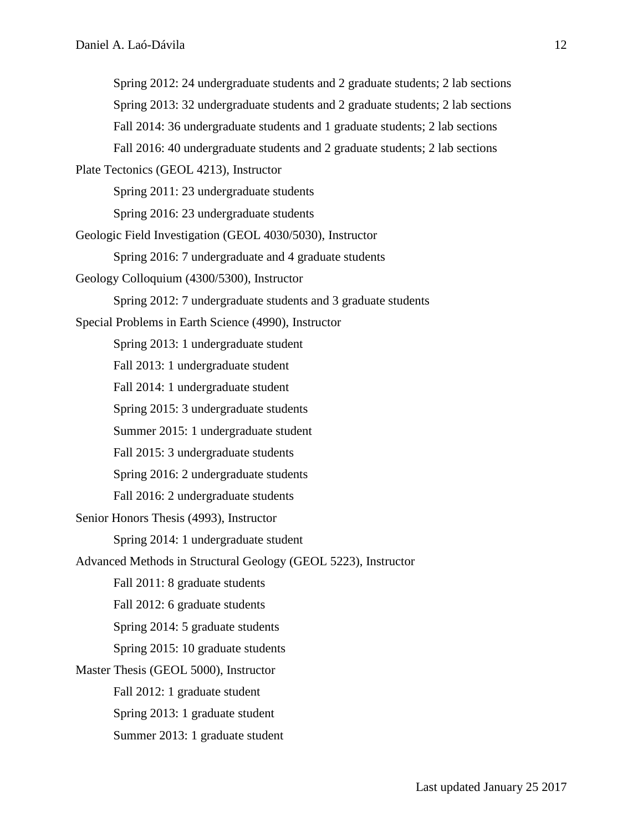Spring 2012: 24 undergraduate students and 2 graduate students; 2 lab sections Spring 2013: 32 undergraduate students and 2 graduate students; 2 lab sections Fall 2014: 36 undergraduate students and 1 graduate students; 2 lab sections Fall 2016: 40 undergraduate students and 2 graduate students; 2 lab sections Plate Tectonics (GEOL 4213), Instructor Spring 2011: 23 undergraduate students Spring 2016: 23 undergraduate students

Geologic Field Investigation (GEOL 4030/5030), Instructor

Spring 2016: 7 undergraduate and 4 graduate students

Geology Colloquium (4300/5300), Instructor

Spring 2012: 7 undergraduate students and 3 graduate students

Special Problems in Earth Science (4990), Instructor

Spring 2013: 1 undergraduate student

Fall 2013: 1 undergraduate student

Fall 2014: 1 undergraduate student

Spring 2015: 3 undergraduate students

Summer 2015: 1 undergraduate student

Fall 2015: 3 undergraduate students

Spring 2016: 2 undergraduate students

Fall 2016: 2 undergraduate students

Senior Honors Thesis (4993), Instructor

Spring 2014: 1 undergraduate student

- Advanced Methods in Structural Geology (GEOL 5223), Instructor
	- Fall 2011: 8 graduate students

Fall 2012: 6 graduate students

Spring 2014: 5 graduate students

Spring 2015: 10 graduate students

Master Thesis (GEOL 5000), Instructor Fall 2012: 1 graduate student Spring 2013: 1 graduate student Summer 2013: 1 graduate student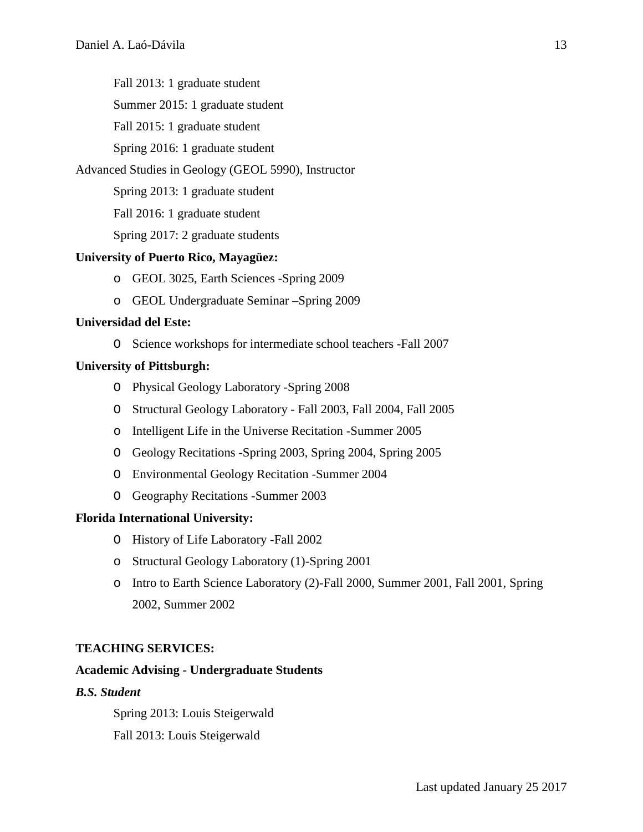Fall 2013: 1 graduate student

Summer 2015: 1 graduate student

Fall 2015: 1 graduate student

Spring 2016: 1 graduate student

## Advanced Studies in Geology (GEOL 5990), Instructor

Spring 2013: 1 graduate student

Fall 2016: 1 graduate student

Spring 2017: 2 graduate students

## **University of Puerto Rico, Mayagüez:**

- o GEOL 3025, Earth Sciences -Spring 2009
- o GEOL Undergraduate Seminar –Spring 2009

## **Universidad del Este:**

O Science workshops for intermediate school teachers -Fall 2007

## **University of Pittsburgh:**

- O Physical Geology Laboratory -Spring 2008
- O Structural Geology Laboratory Fall 2003, Fall 2004, Fall 2005
- o Intelligent Life in the Universe Recitation -Summer 2005
- O Geology Recitations -Spring 2003, Spring 2004, Spring 2005
- O Environmental Geology Recitation -Summer 2004
- O Geography Recitations -Summer 2003

## **Florida International University:**

- O History of Life Laboratory -Fall 2002
- o Structural Geology Laboratory (1)-Spring 2001
- o Intro to Earth Science Laboratory (2)-Fall 2000, Summer 2001, Fall 2001, Spring 2002, Summer 2002

## **TEACHING SERVICES:**

# **Academic Advising - Undergraduate Students**

# *B.S. Student*

Spring 2013: Louis Steigerwald Fall 2013: Louis Steigerwald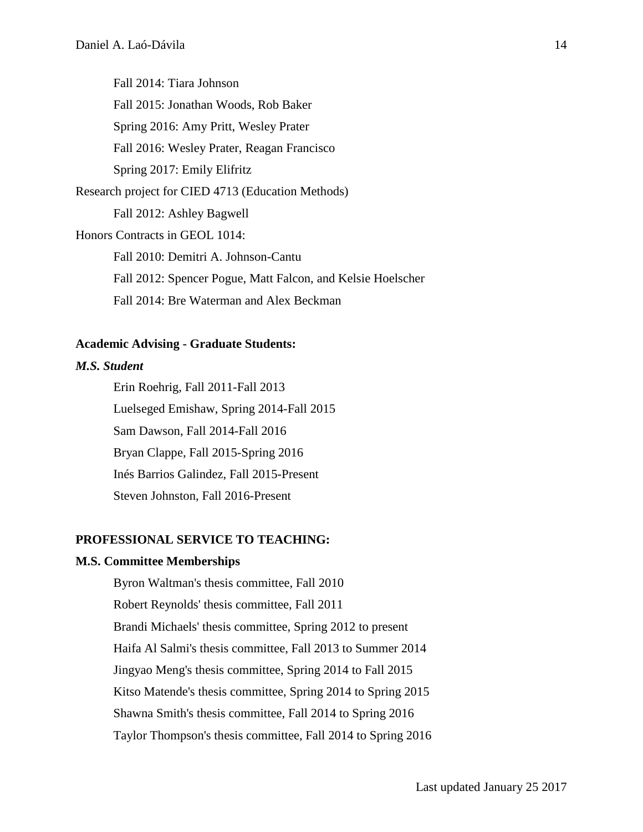Fall 2014: Tiara Johnson Fall 2015: Jonathan Woods, Rob Baker Spring 2016: Amy Pritt, Wesley Prater Fall 2016: Wesley Prater, Reagan Francisco Spring 2017: Emily Elifritz Research project for CIED 4713 (Education Methods) Fall 2012: Ashley Bagwell Honors Contracts in GEOL 1014: Fall 2010: Demitri A. Johnson-Cantu Fall 2012: Spencer Pogue, Matt Falcon, and Kelsie Hoelscher Fall 2014: Bre Waterman and Alex Beckman

### **Academic Advising - Graduate Students:**

# *M.S. Student*

Erin Roehrig, Fall 2011-Fall 2013 Luelseged Emishaw, Spring 2014-Fall 2015 Sam Dawson, Fall 2014-Fall 2016 Bryan Clappe, Fall 2015-Spring 2016 Inés Barrios Galindez, Fall 2015-Present Steven Johnston, Fall 2016-Present

## **PROFESSIONAL SERVICE TO TEACHING:**

#### **M.S. Committee Memberships**

Byron Waltman's thesis committee, Fall 2010 Robert Reynolds' thesis committee, Fall 2011 Brandi Michaels' thesis committee, Spring 2012 to present Haifa Al Salmi's thesis committee, Fall 2013 to Summer 2014 Jingyao Meng's thesis committee, Spring 2014 to Fall 2015 Kitso Matende's thesis committee, Spring 2014 to Spring 2015 Shawna Smith's thesis committee, Fall 2014 to Spring 2016 Taylor Thompson's thesis committee, Fall 2014 to Spring 2016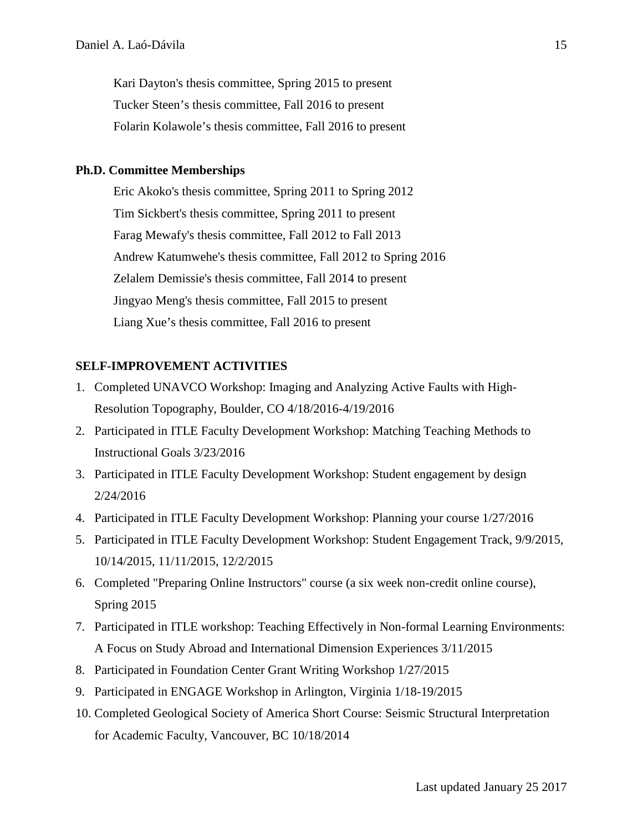Kari Dayton's thesis committee, Spring 2015 to present Tucker Steen's thesis committee, Fall 2016 to present Folarin Kolawole's thesis committee, Fall 2016 to present

#### **Ph.D. Committee Memberships**

Eric Akoko's thesis committee, Spring 2011 to Spring 2012 Tim Sickbert's thesis committee, Spring 2011 to present Farag Mewafy's thesis committee, Fall 2012 to Fall 2013 Andrew Katumwehe's thesis committee, Fall 2012 to Spring 2016 Zelalem Demissie's thesis committee, Fall 2014 to present Jingyao Meng's thesis committee, Fall 2015 to present Liang Xue's thesis committee, Fall 2016 to present

### **SELF-IMPROVEMENT ACTIVITIES**

- 1. Completed UNAVCO Workshop: Imaging and Analyzing Active Faults with High-Resolution Topography, Boulder, CO 4/18/2016-4/19/2016
- 2. Participated in ITLE Faculty Development Workshop: Matching Teaching Methods to Instructional Goals 3/23/2016
- 3. Participated in ITLE Faculty Development Workshop: Student engagement by design 2/24/2016
- 4. Participated in ITLE Faculty Development Workshop: Planning your course 1/27/2016
- 5. Participated in ITLE Faculty Development Workshop: Student Engagement Track, 9/9/2015, 10/14/2015, 11/11/2015, 12/2/2015
- 6. Completed "Preparing Online Instructors" course (a six week non-credit online course), Spring 2015
- 7. Participated in ITLE workshop: Teaching Effectively in Non-formal Learning Environments: A Focus on Study Abroad and International Dimension Experiences 3/11/2015
- 8. Participated in Foundation Center Grant Writing Workshop 1/27/2015
- 9. Participated in ENGAGE Workshop in Arlington, Virginia 1/18-19/2015
- 10. Completed Geological Society of America Short Course: Seismic Structural Interpretation for Academic Faculty, Vancouver, BC 10/18/2014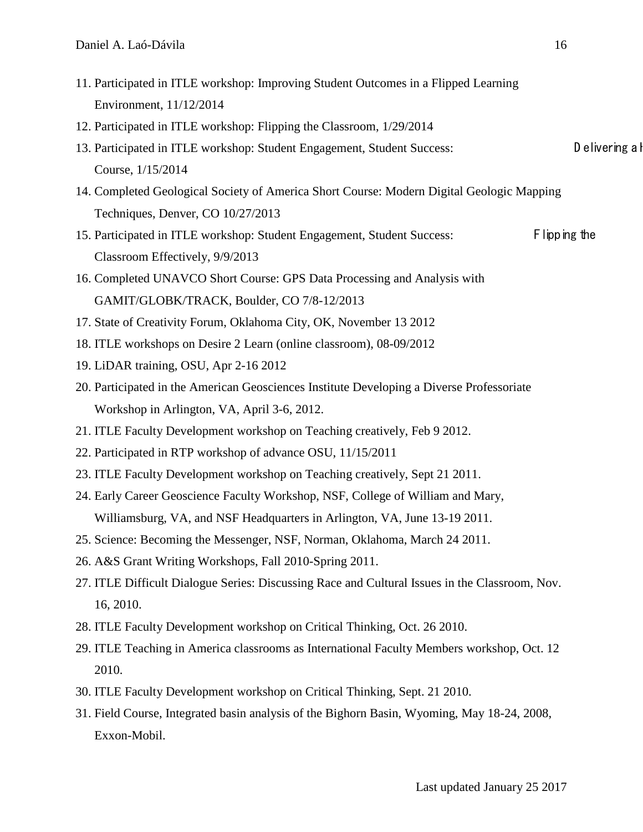- 11. Participated in ITLE workshop: Improving Student Outcomes in a Flipped Learning Environment, 11/12/2014
- 12. Participated in ITLE workshop: Flipping the Classroom, 1/29/2014
- 13. Participated in ITLE workshop: Student Engagement, Student Success: Delivering a H Course, 1/15/2014
- 14. Completed Geological Society of America Short Course: Modern Digital Geologic Mapping Techniques, Denver, CO 10/27/2013
- 15. Participated in ITLE workshop: Student Engagement, Student Success: Flipping the Classroom Effectively, 9/9/2013
- 16. Completed UNAVCO Short Course: [GPS Data Processing and Analysis with](http://www.unavco.org/edu_outreach/short-courses/2013/gamit/gamit.html)  [GAMIT/GLOBK/TRACK,](http://www.unavco.org/edu_outreach/short-courses/2013/gamit/gamit.html) Boulder, CO 7/8-12/2013
- 17. State of Creativity Forum, Oklahoma City, OK, November 13 2012
- 18. ITLE workshops on Desire 2 Learn (online classroom), 08-09/2012
- 19. LiDAR training, OSU, Apr 2-16 2012
- 20. Participated in the American Geosciences Institute Developing a Diverse Professoriate Workshop in Arlington, VA, April 3-6, 2012.
- 21. ITLE Faculty Development workshop on Teaching creatively, Feb 9 2012.
- 22. Participated in RTP workshop of advance OSU, 11/15/2011
- 23. ITLE Faculty Development workshop on Teaching creatively, Sept 21 2011.
- 24. Early Career Geoscience Faculty Workshop, NSF, College of William and Mary, Williamsburg, VA, and NSF Headquarters in Arlington, VA, June 13-19 2011.
- 25. Science: Becoming the Messenger, NSF, Norman, Oklahoma, March 24 2011.
- 26. A&S Grant Writing Workshops, Fall 2010-Spring 2011.
- 27. ITLE Difficult Dialogue Series: Discussing Race and Cultural Issues in the Classroom, Nov. 16, 2010.
- 28. ITLE Faculty Development workshop on Critical Thinking, Oct. 26 2010.
- 29. ITLE Teaching in America classrooms as International Faculty Members workshop, Oct. 12 2010.
- 30. ITLE Faculty Development workshop on Critical Thinking, Sept. 21 2010.
- 31. Field Course, Integrated basin analysis of the Bighorn Basin, Wyoming, May 18-24, 2008, Exxon-Mobil.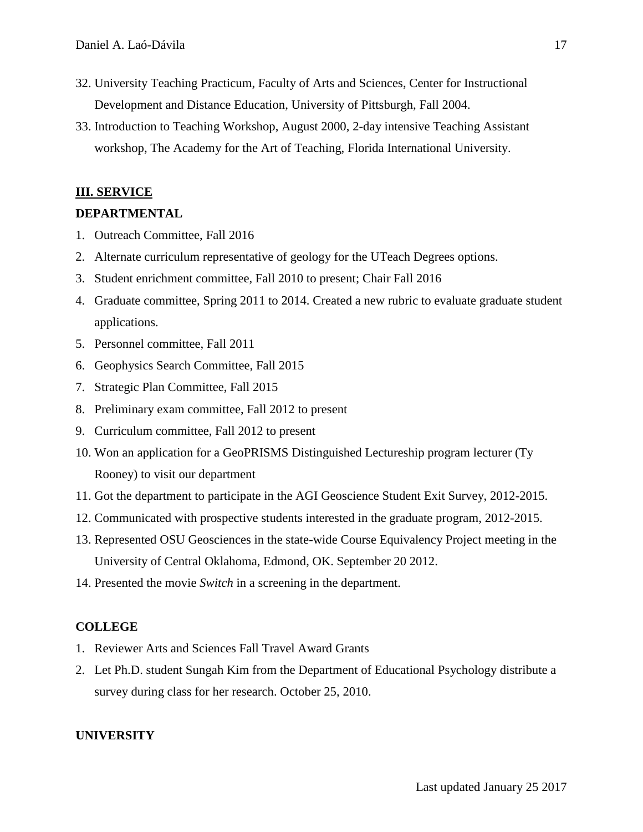- 32. University Teaching Practicum, Faculty of Arts and Sciences, Center for Instructional Development and Distance Education, University of Pittsburgh, Fall 2004.
- 33. Introduction to Teaching Workshop, August 2000, 2-day intensive Teaching Assistant workshop, The Academy for the Art of Teaching, Florida International University.

## **III. SERVICE**

## **DEPARTMENTAL**

- 1. Outreach Committee, Fall 2016
- 2. Alternate curriculum representative of geology for the UTeach Degrees options.
- 3. Student enrichment committee, Fall 2010 to present; Chair Fall 2016
- 4. Graduate committee, Spring 2011 to 2014. Created a new rubric to evaluate graduate student applications.
- 5. Personnel committee, Fall 2011
- 6. Geophysics Search Committee, Fall 2015
- 7. Strategic Plan Committee, Fall 2015
- 8. Preliminary exam committee, Fall 2012 to present
- 9. Curriculum committee, Fall 2012 to present
- 10. Won an application for a GeoPRISMS Distinguished Lectureship program lecturer (Ty Rooney) to visit our department
- 11. Got the department to participate in the AGI Geoscience Student Exit Survey, 2012-2015.
- 12. Communicated with prospective students interested in the graduate program, 2012-2015.
- 13. Represented OSU Geosciences in the state-wide Course Equivalency Project meeting in the University of Central Oklahoma, Edmond, OK. September 20 2012.
- 14. Presented the movie *Switch* in a screening in the department.

## **COLLEGE**

- 1. Reviewer Arts and Sciences Fall Travel Award Grants
- 2. Let Ph.D. student Sungah Kim from the Department of Educational Psychology distribute a survey during class for her research. October 25, 2010.

## **UNIVERSITY**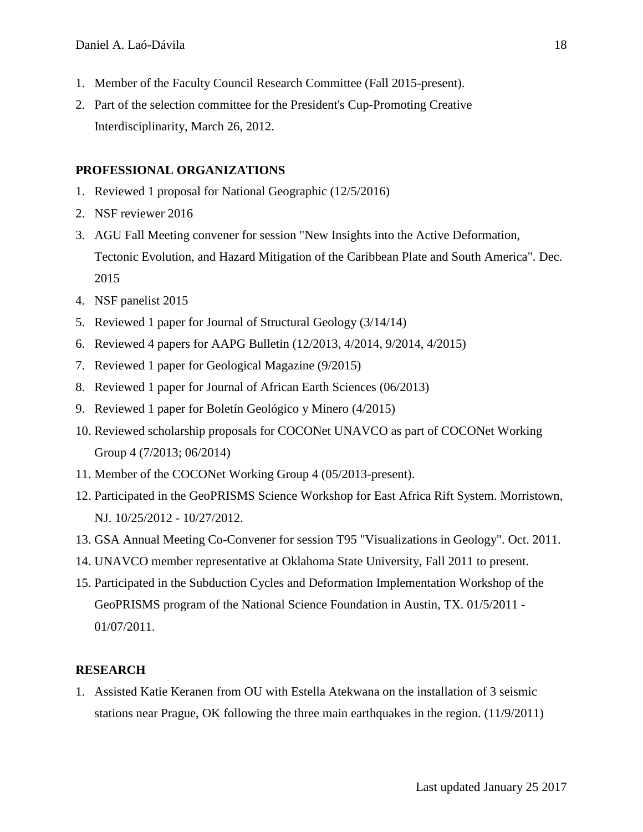- 1. Member of the Faculty Council Research Committee (Fall 2015-present).
- 2. Part of the selection committee for the President's Cup-Promoting Creative Interdisciplinarity, March 26, 2012.

# **PROFESSIONAL ORGANIZATIONS**

- 1. Reviewed 1 proposal for National Geographic (12/5/2016)
- 2. NSF reviewer 2016
- 3. AGU Fall Meeting convener for session "New Insights into the Active Deformation, Tectonic Evolution, and Hazard Mitigation of the Caribbean Plate and South America". Dec. 2015
- 4. NSF panelist 2015
- 5. Reviewed 1 paper for Journal of Structural Geology (3/14/14)
- 6. Reviewed 4 papers for AAPG Bulletin (12/2013, 4/2014, 9/2014, 4/2015)
- 7. Reviewed 1 paper for Geological Magazine (9/2015)
- 8. Reviewed 1 paper for Journal of African Earth Sciences (06/2013)
- 9. Reviewed 1 paper for Boletín Geológico y Minero (4/2015)
- 10. Reviewed scholarship proposals for COCONet UNAVCO as part of COCONet Working Group 4 (7/2013; 06/2014)
- 11. Member of the COCONet Working Group 4 (05/2013-present).
- 12. Participated in the GeoPRISMS Science Workshop for East Africa Rift System. Morristown, NJ. 10/25/2012 - 10/27/2012.
- 13. GSA Annual Meeting Co-Convener for session T95 "Visualizations in Geology". Oct. 2011.
- 14. UNAVCO member representative at Oklahoma State University, Fall 2011 to present.
- 15. Participated in the Subduction Cycles and Deformation Implementation Workshop of the GeoPRISMS program of the National Science Foundation in Austin, TX. 01/5/2011 - 01/07/2011.

# **RESEARCH**

1. Assisted Katie Keranen from OU with Estella Atekwana on the installation of 3 seismic stations near Prague, OK following the three main earthquakes in the region. (11/9/2011)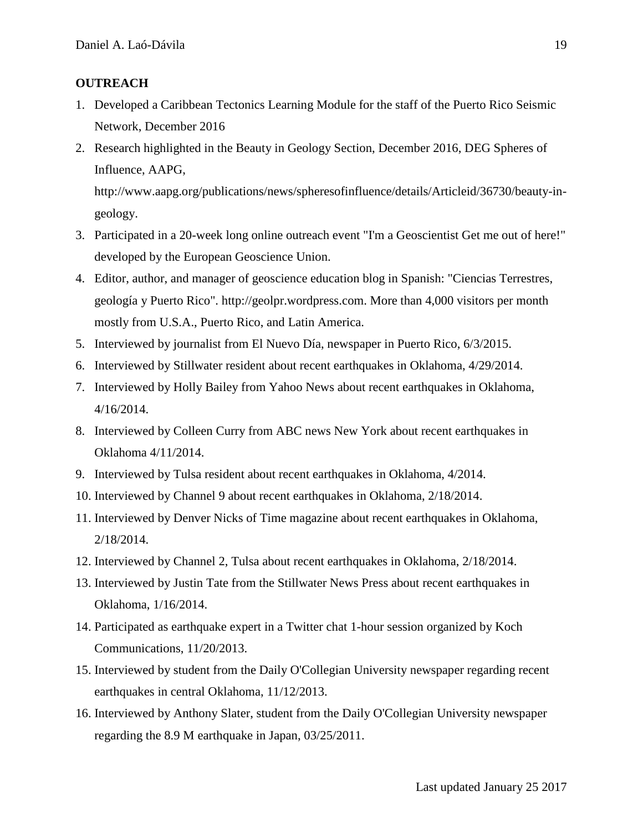## **OUTREACH**

- 1. Developed a Caribbean Tectonics Learning Module for the staff of the Puerto Rico Seismic Network, December 2016
- 2. Research highlighted in the Beauty in Geology Section, December 2016, DEG Spheres of Influence, AAPG, http://www.aapg.org/publications/news/spheresofinfluence/details/Articleid/36730/beauty-in-

geology.

- 3. Participated in a 20-week long online outreach event "I'm a Geoscientist Get me out of here!" developed by the European Geoscience Union.
- 4. Editor, author, and manager of geoscience education blog in Spanish: "Ciencias Terrestres, geología y Puerto Rico". http://geolpr.wordpress.com. More than 4,000 visitors per month mostly from U.S.A., Puerto Rico, and Latin America.
- 5. Interviewed by journalist from El Nuevo Día, newspaper in Puerto Rico, 6/3/2015.
- 6. Interviewed by Stillwater resident about recent earthquakes in Oklahoma, 4/29/2014.
- 7. Interviewed by Holly Bailey from Yahoo News about recent earthquakes in Oklahoma, 4/16/2014.
- 8. Interviewed by Colleen Curry from ABC news New York about recent earthquakes in Oklahoma 4/11/2014.
- 9. Interviewed by Tulsa resident about recent earthquakes in Oklahoma, 4/2014.
- 10. Interviewed by Channel 9 about recent earthquakes in Oklahoma, 2/18/2014.
- 11. Interviewed by Denver Nicks of Time magazine about recent earthquakes in Oklahoma, 2/18/2014.
- 12. Interviewed by Channel 2, Tulsa about recent earthquakes in Oklahoma, 2/18/2014.
- 13. Interviewed by Justin Tate from the Stillwater News Press about recent earthquakes in Oklahoma, 1/16/2014.
- 14. Participated as earthquake expert in a Twitter chat 1-hour session organized by Koch Communications, 11/20/2013.
- 15. Interviewed by student from the Daily O'Collegian University newspaper regarding recent earthquakes in central Oklahoma, 11/12/2013.
- 16. Interviewed by Anthony Slater, student from the Daily O'Collegian University newspaper regarding the 8.9 M earthquake in Japan, 03/25/2011.